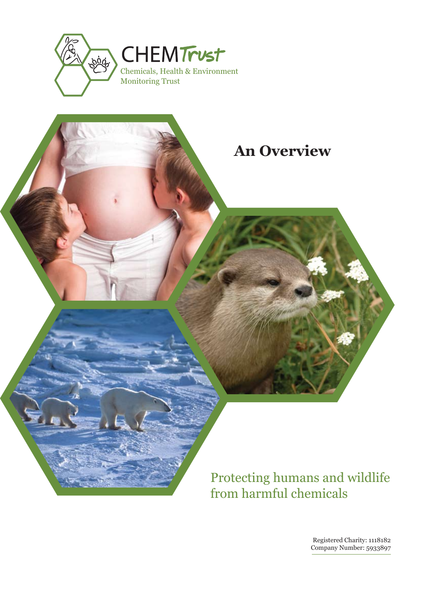



# Protecting humans and wildlife from harmful chemicals

Registered Charity: 1118182 Company Number: 5933897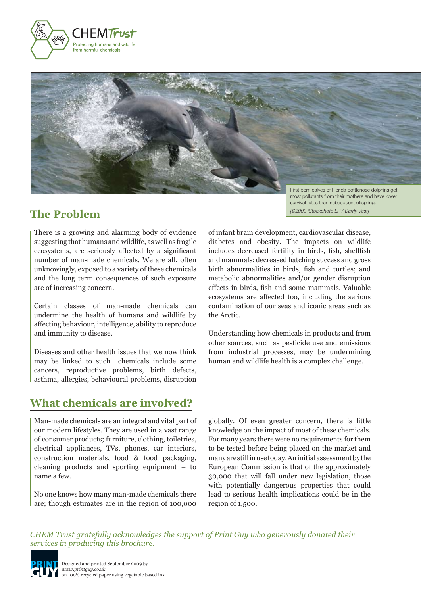



### **The Problem**

most pollutants from their mothers and have lower survival rates than subsequent offspring. *[©2009 iStockphoto LP / Darrly Vest]*

There is a growing and alarming body of evidence suggesting that humans and wildlife, as well as fragile ecosystems, are seriously affected by a significant number of man-made chemicals. We are all, often unknowingly, exposed to a variety of these chemicals and the long term consequences of such exposure are of increasing concern.

Certain classes of man-made chemicals can undermine the health of humans and wildlife by affecting behaviour, intelligence, ability to reproduce and immunity to disease.

Diseases and other health issues that we now think may be linked to such chemicals include some cancers, reproductive problems, birth defects, asthma, allergies, behavioural problems, disruption

## **What chemicals are involved?**

Man-made chemicals are an integral and vital part of our modern lifestyles. They are used in a vast range of consumer products; furniture, clothing, toiletries, electrical appliances, TVs, phones, car interiors, construction materials, food & food packaging, cleaning products and sporting equipment – to name a few.

No one knows how many man-made chemicals there are; though estimates are in the region of 100,000 of infant brain development, cardiovascular disease, diabetes and obesity. The impacts on wildlife includes decreased fertility in birds, fish, shellfish and mammals; decreased hatching success and gross birth abnormalities in birds, fish and turtles; and metabolic abnormalities and/or gender disruption effects in birds, fish and some mammals. Valuable ecosystems are affected too, including the serious contamination of our seas and iconic areas such as the Arctic.

Understanding how chemicals in products and from other sources, such as pesticide use and emissions from industrial processes, may be undermining human and wildlife health is a complex challenge.

globally. Of even greater concern, there is little knowledge on the impact of most of these chemicals. For many years there were no requirements for them to be tested before being placed on the market and many are still in use today. An initial assessment by the European Commission is that of the approximately 30,000 that will fall under new legislation, those with potentially dangerous properties that could lead to serious health implications could be in the region of 1,500.

*CHEM Trust gratefully acknowledges the support of Print Guy who generously donated their services in producing this brochure.*

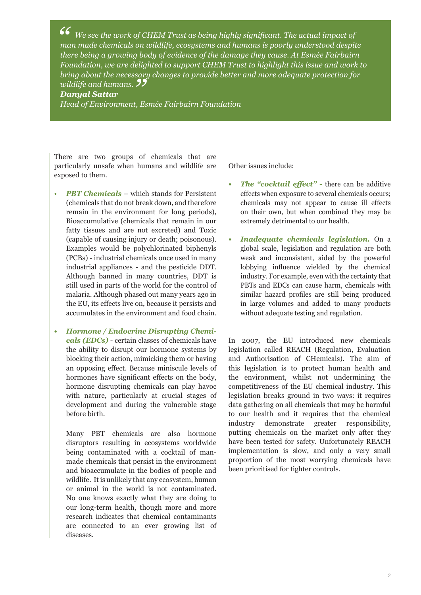*C* We see the work of CHEM Trust as being highly significant. The actual impact of man made chemicals on wildlife, ecosystems and humans is poorly understood despited there being a growing body of guidance of the damage t *man made chemicals on wildlife, ecosystems and humans is poorly understood despite there being a growing body of evidence of the damage they cause. At Esmée Fairbairn Foundation, we are delighted to support CHEM Trust to highlight this issue and work to bring about the necessary changes to provide better and more adequate protection for wildlife and humans.*<br>**Danyal Sattar**<br>Head of Environment. E

#### *Danyal Sattar*

*Head of Environment, Esmée Fairbairn Foundation*

There are two groups of chemicals that are particularly unsafe when humans and wildlife are exposed to them.

- *PBT Chemicals* which stands for Persistent (chemicals that do not break down, and therefore remain in the environment for long periods), Bioaccumulative (chemicals that remain in our fatty tissues and are not excreted) and Toxic (capable of causing injury or death; poisonous). Examples would be polychlorinated biphenyls (PCBs) - industrial chemicals once used in many industrial appliances - and the pesticide DDT. Although banned in many countries, DDT is still used in parts of the world for the control of malaria. Although phased out many years ago in the EU, its effects live on, because it persists and accumulates in the environment and food chain.
- *• Hormone / Endocrine Disrupting Chemicals (EDCs)* - certain classes of chemicals have the ability to disrupt our hormone systems by blocking their action, mimicking them or having an opposing effect. Because miniscule levels of hormones have significant effects on the body, hormone disrupting chemicals can play havoc with nature, particularly at crucial stages of development and during the vulnerable stage before birth.

 Many PBT chemicals are also hormone disruptors resulting in ecosystems worldwide being contaminated with a cocktail of manmade chemicals that persist in the environment and bioaccumulate in the bodies of people and wildlife. It is unlikely that any ecosystem, human or animal in the world is not contaminated. No one knows exactly what they are doing to our long-term health, though more and more research indicates that chemical contaminants are connected to an ever growing list of diseases.

Other issues include:

- *• The "cocktail effect" -* there can be additive effects when exposure to several chemicals occurs; chemicals may not appear to cause ill effects on their own, but when combined they may be extremely detrimental to our health.
- *Inadequate chemicals legislation.* On a global scale, legislation and regulation are both weak and inconsistent, aided by the powerful lobbying influence wielded by the chemical industry. For example, even with the certainty that PBTs and EDCs can cause harm, chemicals with similar hazard profiles are still being produced in large volumes and added to many products without adequate testing and regulation.

In 2007, the EU introduced new chemicals legislation called REACH (Regulation, Evaluation and Authorisation of CHemicals). The aim of this legislation is to protect human health and the environment, whilst not undermining the competitiveness of the EU chemical industry. This legislation breaks ground in two ways: it requires data gathering on all chemicals that may be harmful to our health and it requires that the chemical industry demonstrate greater responsibility, putting chemicals on the market only after they have been tested for safety. Unfortunately REACH implementation is slow, and only a very small proportion of the most worrying chemicals have been prioritised for tighter controls.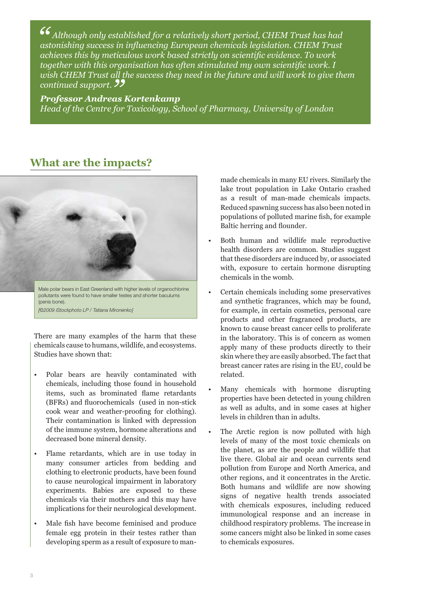66<br>as<br> $\frac{as}{32}$  *Although only established for a relatively short period, CHEM Trust has had astonishing success in influencing European chemicals legislation. CHEM Trust achieves this by meticulous work based strictly on scientific evidence. To work together with this organisation has often stimulated my own scientific work. I wish CHEM Trust all the success they need in the future and will work to give them continued support.*<br> **Professor Andreas**<br> *Haad of the Contre for* 

#### *Professor Andreas Kortenkamp*

*Head of the Centre for Toxicology, School of Pharmacy, University of London*

### **What are the impacts?**



There are many examples of the harm that these chemicals cause to humans, wildlife, and ecosystems. Studies have shown that:

- Polar bears are heavily contaminated with chemicals, including those found in household items, such as brominated flame retardants (BFRs) and fluorochemicals (used in non-stick cook wear and weather-proofing for clothing). Their contamination is linked with depression of the immune system, hormone alterations and decreased bone mineral density.
- Flame retardants, which are in use today in many consumer articles from bedding and clothing to electronic products, have been found to cause neurological impairment in laboratory experiments. Babies are exposed to these chemicals via their mothers and this may have implications for their neurological development.
- Male fish have become feminised and produce female egg protein in their testes rather than developing sperm as a result of exposure to man-

made chemicals in many EU rivers. Similarly the lake trout population in Lake Ontario crashed as a result of man-made chemicals impacts. Reduced spawning success has also been noted in populations of polluted marine fish, for example Baltic herring and flounder.

- Both human and wildlife male reproductive health disorders are common. Studies suggest that these disorders are induced by, or associated with, exposure to certain hormone disrupting chemicals in the womb.
- Certain chemicals including some preservatives and synthetic fragrances, which may be found, for example, in certain cosmetics, personal care products and other fragranced products, are known to cause breast cancer cells to proliferate in the laboratory. This is of concern as women apply many of these products directly to their skin where they are easily absorbed. The fact that breast cancer rates are rising in the EU, could be related.
- Many chemicals with hormone disrupting properties have been detected in young children as well as adults, and in some cases at higher levels in children than in adults.
- The Arctic region is now polluted with high levels of many of the most toxic chemicals on the planet, as are the people and wildlife that live there. Global air and ocean currents send pollution from Europe and North America, and other regions, and it concentrates in the Arctic. Both humans and wildlife are now showing signs of negative health trends associated with chemicals exposures, including reduced immunological response and an increase in childhood respiratory problems. The increase in some cancers might also be linked in some cases to chemicals exposures.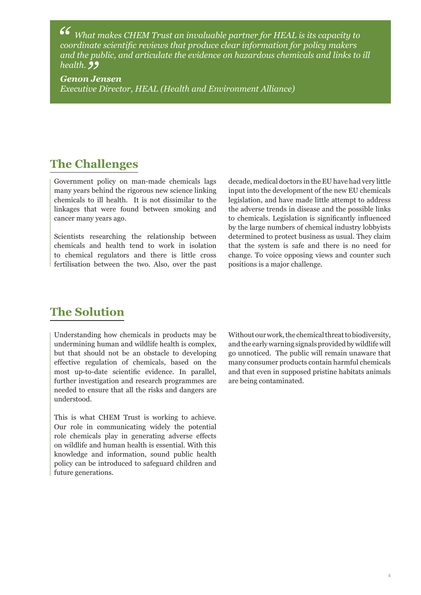*" What makes CHEM Trust an invaluable partner for HEAL is its capacity to coordinate scientific reviews that produce clear information for policy makers and the public, and articulate the evidence on hazardous chemicals and links to ill* 

*Genon J***<br>Genon J**<br>Executive *Genon Jensen Executive Director, HEAL (Health and Environment Alliance)*

### **The Challenges**

Government policy on man-made chemicals lags many years behind the rigorous new science linking chemicals to ill health. It is not dissimilar to the linkages that were found between smoking and cancer many years ago.

Scientists researching the relationship between chemicals and health tend to work in isolation to chemical regulators and there is little cross fertilisation between the two. Also, over the past decade, medical doctors in the EU have had very little input into the development of the new EU chemicals legislation, and have made little attempt to address the adverse trends in disease and the possible links to chemicals. Legislation is significantly influenced by the large numbers of chemical industry lobbyists determined to protect business as usual. They claim that the system is safe and there is no need for change. To voice opposing views and counter such positions is a major challenge.

### **The Solution**

Understanding how chemicals in products may be undermining human and wildlife health is complex, but that should not be an obstacle to developing effective regulation of chemicals, based on the most up-to-date scientific evidence. In parallel, further investigation and research programmes are needed to ensure that all the risks and dangers are understood.

This is what CHEM Trust is working to achieve. Our role in communicating widely the potential role chemicals play in generating adverse effects on wildlife and human health is essential. With this knowledge and information, sound public health policy can be introduced to safeguard children and future generations.

Without our work, the chemical threat to biodiversity, and the early warning signals provided by wildlife will go unnoticed. The public will remain unaware that many consumer products contain harmful chemicals and that even in supposed pristine habitats animals are being contaminated.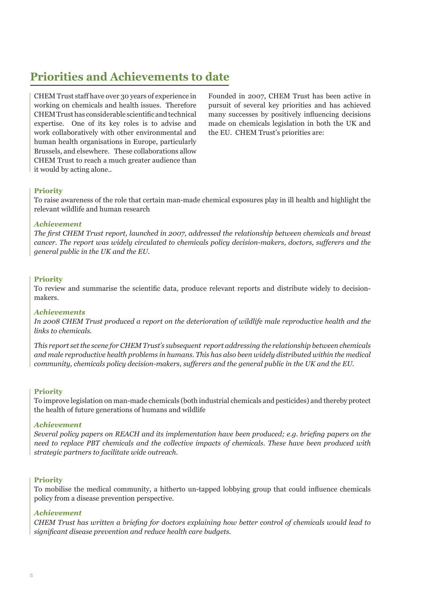# **Priorities and Achievements to date**

CHEM Trust staff have over 30 years of experience in working on chemicals and health issues. Therefore CHEM Trust has considerable scientific and technical expertise. One of its key roles is to advise and work collaboratively with other environmental and human health organisations in Europe, particularly Brussels, and elsewhere. These collaborations allow CHEM Trust to reach a much greater audience than it would by acting alone..

Founded in 2007, CHEM Trust has been active in pursuit of several key priorities and has achieved many successes by positively influencing decisions made on chemicals legislation in both the UK and the EU. CHEM Trust's priorities are:

#### **Priority**

To raise awareness of the role that certain man-made chemical exposures play in ill health and highlight the relevant wildlife and human research

#### *Achievement*

*The first CHEM Trust report, launched in 2007, addressed the relationship between chemicals and breast cancer. The report was widely circulated to chemicals policy decision-makers, doctors, sufferers and the general public in the UK and the EU.* 

#### **Priority**

To review and summarise the scientific data, produce relevant reports and distribute widely to decisionmakers.

#### *Achievements*

*In 2008 CHEM Trust produced a report on the deterioration of wildlife male reproductive health and the links to chemicals.* 

*This report set the scene for CHEM Trust's subsequent report addressing the relationship between chemicals and male reproductive health problems in humans. This has also been widely distributed within the medical community, chemicals policy decision-makers, sufferers and the general public in the UK and the EU.* 

#### **Priority**

To improve legislation on man-made chemicals (both industrial chemicals and pesticides) and thereby protect the health of future generations of humans and wildlife

#### *Achievement*

*Several policy papers on REACH and its implementation have been produced; e.g. briefing papers on the need to replace PBT chemicals and the collective impacts of chemicals. These have been produced with strategic partners to facilitate wide outreach.*

#### **Priority**

To mobilise the medical community, a hitherto un-tapped lobbying group that could influence chemicals policy from a disease prevention perspective.

#### *Achievement*

*CHEM Trust has written a briefing for doctors explaining how better control of chemicals would lead to significant disease prevention and reduce health care budgets.*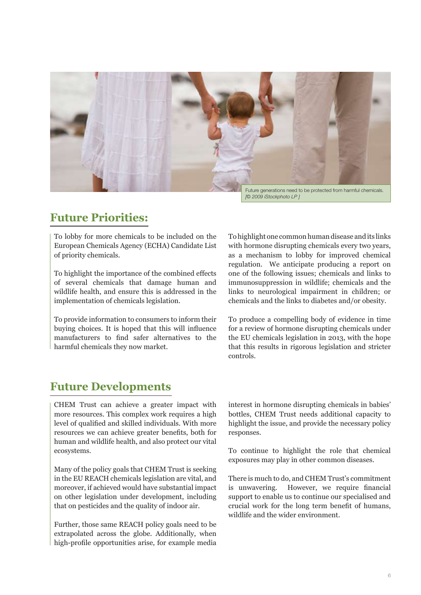

*[© 2009 iStockphoto LP ]*

## **Future Priorities:**

To lobby for more chemicals to be included on the European Chemicals Agency (ECHA) Candidate List of priority chemicals.

To highlight the importance of the combined effects of several chemicals that damage human and wildlife health, and ensure this is addressed in the implementation of chemicals legislation.

To provide information to consumers to inform their buying choices. It is hoped that this will influence manufacturers to find safer alternatives to the harmful chemicals they now market.

To highlight one common human disease and its links with hormone disrupting chemicals every two years, as a mechanism to lobby for improved chemical regulation. We anticipate producing a report on one of the following issues; chemicals and links to immunosuppression in wildlife; chemicals and the links to neurological impairment in children; or chemicals and the links to diabetes and/or obesity.

To produce a compelling body of evidence in time for a review of hormone disrupting chemicals under the EU chemicals legislation in 2013, with the hope that this results in rigorous legislation and stricter controls.

### **Future Developments**

CHEM Trust can achieve a greater impact with more resources. This complex work requires a high level of qualified and skilled individuals. With more resources we can achieve greater benefits, both for human and wildlife health, and also protect our vital ecosystems.

Many of the policy goals that CHEM Trust is seeking in the EU REACH chemicals legislation are vital, and moreover, if achieved would have substantial impact on other legislation under development, including that on pesticides and the quality of indoor air.

Further, those same REACH policy goals need to be extrapolated across the globe. Additionally, when high-profile opportunities arise, for example media

interest in hormone disrupting chemicals in babies' bottles, CHEM Trust needs additional capacity to highlight the issue, and provide the necessary policy responses.

To continue to highlight the role that chemical exposures may play in other common diseases.

There is much to do, and CHEM Trust's commitment is unwavering. However, we require financial support to enable us to continue our specialised and crucial work for the long term benefit of humans, wildlife and the wider environment.